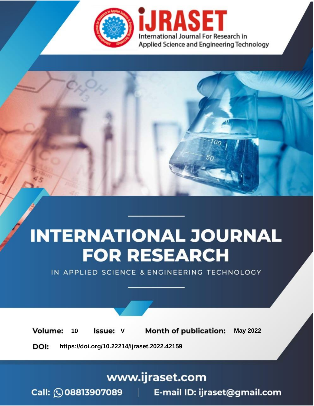

# **INTERNATIONAL JOURNAL FOR RESEARCH**

IN APPLIED SCIENCE & ENGINEERING TECHNOLOGY

Volume: **Month of publication: May 2022** 10 **Issue: V** 

DOI: https://doi.org/10.22214/ijraset.2022.42159

www.ijraset.com

Call: 008813907089 | E-mail ID: ijraset@gmail.com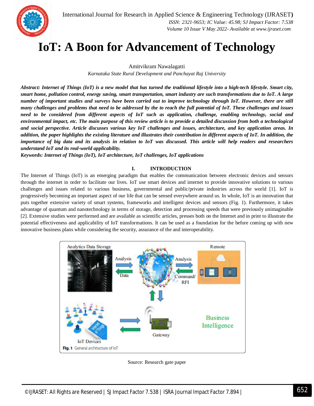

International Journal for Research in Applied Science & Engineering Technology (IJRASET**)**  *ISSN: 2321-9653; IC Value: 45.98; SJ Impact Factor: 7.538 Volume 10 Issue V May 2022- Available at www.ijraset.com*

### **IoT: A Boon for Advancement of Technology**

Amitvikram Nawalagatti

*Karnataka State Rural Development and Panchayat Raj University*

*Abstract: Internet of Things (IoT) is a new model that has turned the traditional lifestyle into a high-tech lifestyle. Smart city, smart home, pollution control, energy saving, smart transportation, smart industry are such transformations due to IoT. A large number of important studies and surveys have been carried out to improve technology through IoT. However, there are still many challenges and problems that need to be addressed by the to reach the full potential of IoT. These challenges and issues need to be considered from different aspects of IoT such as application, challenge, enabling technology, social and environmental impact, etc. The main purpose of this review article is to provide a detailed discussion from both a technological and social perspective. Article discusses various key IoT challenges and issues, architecture, and key application areas. In addition, the paper highlights the existing literature and illustrates their contribution in different aspects of IoT. In addition, the importance of big data and its analysis in relation to IoT was discussed. This article will help readers and researchers understand IoT and its real-world applicability.*

*Keywords: Internet of Things (IoT), IoT architecture, IoT challenges, IoT applications*

#### **I. INTRODUCTION**

The Internet of Things (IoT) is an emerging paradigm that enables the communication between electronic devices and sensors through the internet in order to facilitate our lives. IoT use smart devices and internet to provide innovative solutions to various challenges and issues related to various business, governmental and public/private industries across the world [1]. IoT is progressively becoming an important aspect of our life that can be sensed everywhere around us. In whole, IoT is an innovation that puts together extensive variety of smart systems, frameworks and intelligent devices and sensors (Fig. 1). Furthermore, it takes advantage of quantum and nanotechnology in terms of storage, detection and processing speeds that were previously unimaginable [2]. Extensive studies were performed and are available as scientific articles, presses both on the Internet and in print to illustrate the potential effectiveness and applicability of IoT transformations. It can be used as a foundation for the before coming up with new innovative business plans while considering the security, assurance of the and interoperability.



Source: Research gate paper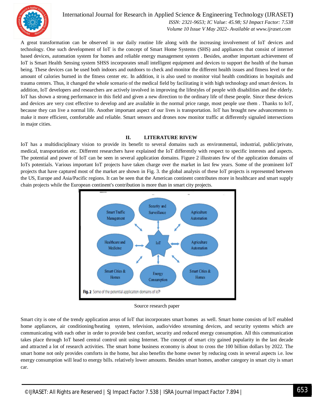

International Journal for Research in Applied Science & Engineering Technology (IJRASET**)**

 *ISSN: 2321-9653; IC Value: 45.98; SJ Impact Factor: 7.538 Volume 10 Issue V May 2022- Available at www.ijraset.com*

A great transformation can be observed in our daily routine life along with the increasing involvement of IoT devices and technology. One such development of IoT is the concept of Smart Home Systems (SHS) and appliances that consist of internet based devices, automation system for homes and reliable energy management system . Besides, another important achievement of IoT is Smart Health Sensing system SHSS incorporates small intelligent equipment and devices to support the health of the human being. These devices can be used both indoors and outdoors to check and monitor the different health issues and fitness level or the amount of calories burned in the fitness center etc. In addition, it is also used to monitor vital health conditions in hospitals and trauma centers. Thus, it changed the whole scenario of the medical field by facilitating it with high technology and smart devices. In addition, IoT developers and researchers are actively involved in improving the lifestyles of people with disabilities and the elderly. IoT has shown a strong performance in this field and given a new direction to the ordinary life of these people. Since these devices and devices are very cost effective to develop and are available in the normal price range, most people use them . Thanks to IoT, because they can live a normal life. Another important aspect of our lives is transportation. IoT has brought new advancements to make it more efficient, comfortable and reliable. Smart sensors and drones now monitor traffic at differently signaled intersections in major cities.

#### **II. LITERATURE RIVEW**

IoT has a multidisciplinary vision to provide its benefit to several domains such as environmental, industrial, public/private, medical, transportation etc. Different researchers have explained the IoT differently with respect to specific interests and aspects. The potential and power of IoT can be seen in several application domains. Figure 2 illustrates few of the application domains of IoTs potentials. Various important IoT projects have taken charge over the market in last few years. Some of the prominent IoT projects that have captured most of the market are shown in Fig. 3. the global analysis of these IoT projects is represented between the US, Europe and Asia/Pacific regions. It can be seen that the American continent contributes more in healthcare and smart supply chain projects while the European continent's contribution is more than in smart city projects.



#### Source research paper

Smart city is one of the trendy application areas of IoT that incorporates smart homes as well. Smart home consists of IoT enabled home appliances, air conditioning/heating system, television, audio/video streaming devices, and security systems which are communicating with each other in order to provide best comfort, security and reduced energy consumption. All this communication takes place through IoT based central control unit using Internet. The concept of smart city gained popularity in the last decade and attracted a lot of research activities. The smart home business economy is about to cross the 100 billion dollars by 2022. The smart home not only provides comforts in the home, but also benefits the home owner by reducing costs in several aspects i.e. low energy consumption will lead to energy bills. relatively lower amounts. Besides smart homes, another category in smart city is smart car.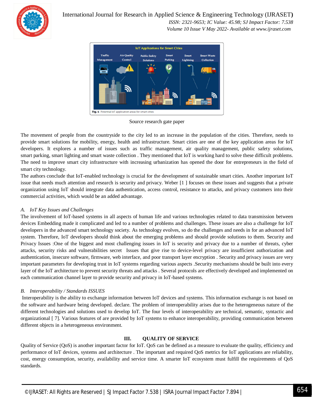

#### International Journal for Research in Applied Science & Engineering Technology (IJRASET**)**

 *ISSN: 2321-9653; IC Value: 45.98; SJ Impact Factor: 7.538 Volume 10 Issue V May 2022- Available at www.ijraset.com*



Source research gate paper

The movement of people from the countryside to the city led to an increase in the population of the cities. Therefore, needs to provide smart solutions for mobility, energy, health and infrastructure. Smart cities are one of the key application areas for IoT developers. It explores a number of issues such as traffic management, air quality management, public safety solutions, smart parking, smart lighting and smart waste collection . They mentioned that IoT is working hard to solve these difficult problems. The need to improve smart city infrastructure with increasing urbanization has opened the door for entrepreneurs in the field of smart city technology.

The authors conclude that IoT-enabled technology is crucial for the development of sustainable smart cities. Another important IoT issue that needs much attention and research is security and privacy. Weber [1 ] focuses on these issues and suggests that a private organization using IoT should integrate data authentication, access control, resistance to attacks, and privacy customers into their commercial activities, which would be an added advantage.

#### *A. IoT Key Issues and Challenges*

The involvement of IoT-based systems in all aspects of human life and various technologies related to data transmission between devices Embedding made it complicated and led to a number of problems and challenges. These issues are also a challenge for IoT developers in the advanced smart technology society. As technology evolves, so do the challenges and needs in for an advanced IoT system. Therefore, IoT developers should think about the emerging problems and should provide solutions to them. Security and Privacy Issues :One of the biggest and most challenging issues in IoT is security and privacy due to a number of threats, cyber attacks, security risks and vulnerabilities secret Issues that give rise to device-level privacy are insufficient authorization and authentication, insecure software, firmware, web interface, and poor transport layer encryption . Security and privacy issues are very important parameters for developing trust in IoT systems regarding various aspects .Security mechanisms should be built into every layer of the IoT architecture to prevent security threats and attacks . Several protocols are effectively developed and implemented on each communication channel layer to provide security and privacy in IoT-based systems.

#### *B. Interoperability / Standards ISSUES*

Interoperability is the ability to exchange information between IoT devices and systems. This information exchange is not based on the software and hardware being developed. declare. The problem of interoperability arises due to the heterogeneous nature of the different technologies and solutions used to develop IoT. The four levels of interoperability are technical, semantic, syntactic and organizational [ 7]. Various features of are provided by IoT systems to enhance interoperability, providing communication between different objects in a heterogeneous environment.

#### **III. QUALITY OF SERVICE**

Quality of Service (QoS) is another important factor for IoT. QoS can be defined as a measure to evaluate the quality, efficiency and performance of IoT devices, systems and architecture . The important and required QoS metrics for IoT applications are reliability, cost, energy consumption, security, availability and service time. A smarter IoT ecosystem must fulfill the requirements of QoS standards.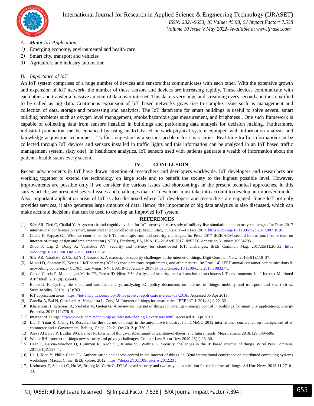

#### International Journal for Research in Applied Science & Engineering Technology (IJRASET**)**

 *ISSN: 2321-9653; IC Value: 45.98; SJ Impact Factor: 7.538 Volume 10 Issue V May 2022- Available at www.ijraset.com*

- *A. Major IoT Application*
- *1*) Emerging economy, environmental and health-care
- *2)* Smart city, transport and vehicles
- *3)* Agriculture and industry automation

#### *B. Importance of IoT*

An IoT system comprises of a huge number of devices and sensors that communicates with each other. With the extensive growth and expansion of IoT network, the number of these sensors and devices are increasing rapidly. These devices communicate with each other and transfer a massive amount of data over internet. This data is very huge and streaming every second and thus qualified to be called as big data. Continuous expansion of IoT based networks gives rise to complex issue such as management and collection of data, storage and processing and analytics. The IoT dataframe for smart buildings is useful to solve several smart building problems such as oxygen level management, smoke/hazardous gas measurement, and brightness . One such framework is capable of collecting data from sensors installed in buildings and performing data analysis for decision making. Furthermore, industrial production can be enhanced by using an IoT-based network-physical system equipped with information analysis and knowledge acquisition techniques . Traffic congestion is a serious problem for smart cities. Real-time traffic information can be collected through IoT devices and sensors installed in traffic lights and this information can be analyzed in an IoT based traffic management system. sixty one]. In healthcare analytics, IoT sensors used with patients generate a wealth of information about the patient's health status every second.

#### **IV. CONCLUSION**

Recent advancements in IoT have drawn attention of researchers and developers worldwide. IoT developers and researchers are working together to extend the technology on large scale and to benefit the society to the highest possible level. However, improvements are possible only if we consider the various issues and shortcomings in the present technical approaches. In this survey article, we presented several issues and challenges that IoT developer must take into account to develop an improved model. Also, important application areas of IoT is also discussed where IoT developers and researchers are engaged. Since IoT not only provides services, it also generates large amounts of data. Hence, the importance of big data analytics is also discussed, which can make accurate decisions that can be used to develop an improved IoT system.

#### **REFERENCES**

- [1] Sfar AR, Zied C, Challal Y. A systematic and cognitive vision for IoT security: a case study of military live simulation and security challenges. In: Proc. 2017 international conference on smart, monitored and controlled cities (SM2C), Sfax, Tunisia, 17–19 Feb. 2017. https ://doi.org/10.1109/sm2c.2017.80718 28.
- [2] Gatsis K, Pappas GJ. Wireless control for the IoT: power spectrum and security challenges. In: Proc. 2017 IEEE/ACM second international conference on internet-of-things design and implementation (IoTDI), Pittsburg, PA, USA, 18–21 April 2017. INSPEC Accession Number: 16964293.
- [3] Zhou J, Cap Z, Dong X, Vasilakos AV. Security and privacy for cloud-based IoT: challenges. IEEE Commun Mag. 2017;55(1):26–33. https ://doi.org/10.1109/MCOM.2017.16003 63CM.
- [4] Sfar AR, Natalizio E, Challal Y, Chtourou Z. A roadmap for security challenges in the internet of things. Digit Commun Netw. 2018;4(1):118–37.
- [5] Minoli D, Sohraby K, Kouns J. IoT security (IoTSec) considerations, requirements, and architectures. In: Proc. 14th IEEE annual consumer communications & networking conference (CCNC), Las Vegas, NV, USA, 8–11 January 2017. https ://doi.org/10.1109/ccnc.2017.79832 71.
- [6] Gaona-Garcia P, Montenegro-Marin CE, Prieto JD, Nieto YV. Analysis of security mechanisms based on clusters IoT environments. Int J Interact Multimed Artif Intell. 2017;4(3):55–60.
- [7] Behrendt F. Cycling the smart and sustainable city: analyzing EC policy documents on internet of things, mobility and transport, and smart cities. Sustainability. 2019;11(3):763.
- [8] IoT application areas. https ://iot-analy tics.com/top-10-iot-proje ct-appli catio n-areas -q3-2016/. Accessed 05 Apr 2019.
- [9] Zanella A, Bui N, Castellani A, Vangelista L, Zorgi M. Internet of things for smart cities. IEEE IoT-J. 2014;1(1):22–32.
- [10] Khajenasiri I, Estebsari A, Verhelst M, Gielen G. A review on internet of things for intelligent energy control in buildings for smart city applications. Energy Procedia. 2017;111:770–9.
- [11] Internet of Things. http://www.ti.com/techn ologi es/inter net-of-thing s/overv iew.html. Accessed 01 Apr 2019.
- [12] Liu T, Yuan R, Chang H. Research on the internet of things in the automotive industry. In: ICMeCG 2012 international conference on management of ecommerce and e-Government, Beijing, China. 20–21 Oct 2012. p. 230–3.
- [13] Alavi AH, Jiao P, Buttlar WG, Lajnef N. Internet of things-enabled smart cities: state-of-the-art and future trends. Measurement. 2018;129:589–606.
- [14] Weber RH. Internet of things-new security and privacy challenges. Comput Law Secur Rev. 2010;26(1):23–30.
- [15] Heer T, Garcia-Morchon O, Hummen R, Keoh SL, Kumar SS, Wehrle K. Security challenges in the IP based internet of things. Wirel Pers Commun. 2011;61(3):527–42.
- [16] Liu J, Xiao Y, Philip-Chen CL. Authentication and access control in the internet of things. In: 32nd international conference on distributed computing systems workshops, Macau, China. IEEE xplore; 2012. https ://doi.org/10.1109/icdcs w.2012.23 .
- [17] Kothmayr T, Schmitt C, Hu W, Brunig M, Carle G. DTLS based security and two-way authentication for the internet of things. Ad Hoc Netw. 2013;11:2710–  $23$